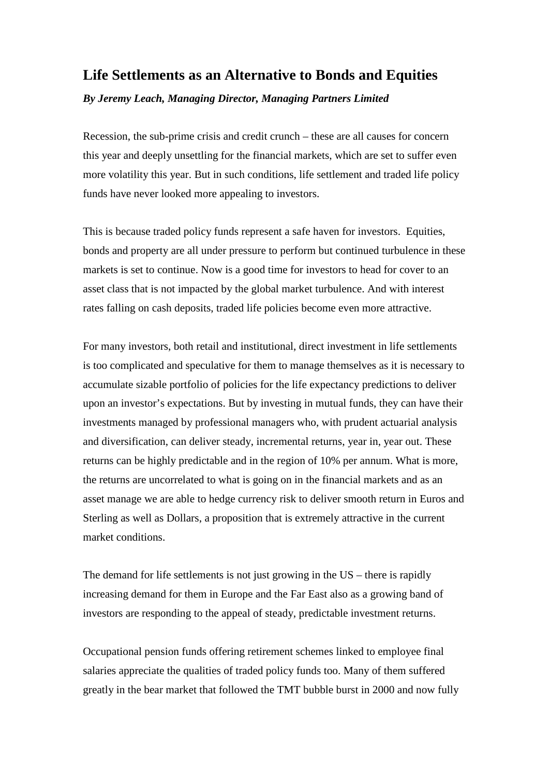## **Life Settlements as an Alternative to Bonds and Equities**

*By Jeremy Leach, Managing Director, Managing Partners Limited*

Recession, the sub-prime crisis and credit crunch – these are all causes for concern this year and deeply unsettling for the financial markets, which are set to suffer even more volatility this year. But in such conditions, life settlement and traded life policy funds have never looked more appealing to investors.

This is because traded policy funds represent a safe haven for investors. Equities, bonds and property are all under pressure to perform but continued turbulence in these markets is set to continue. Now is a good time for investors to head for cover to an asset class that is not impacted by the global market turbulence. And with interest rates falling on cash deposits, traded life policies become even more attractive.

For many investors, both retail and institutional, direct investment in life settlements is too complicated and speculative for them to manage themselves as it is necessary to accumulate sizable portfolio of policies for the life expectancy predictions to deliver upon an investor's expectations. But by investing in mutual funds, they can have their investments managed by professional managers who, with prudent actuarial analysis and diversification, can deliver steady, incremental returns, year in, year out. These returns can be highly predictable and in the region of 10% per annum. What is more, the returns are uncorrelated to what is going on in the financial markets and as an asset manage we are able to hedge currency risk to deliver smooth return in Euros and Sterling as well as Dollars, a proposition that is extremely attractive in the current market conditions.

The demand for life settlements is not just growing in the US – there is rapidly increasing demand for them in Europe and the Far East also as a growing band of investors are responding to the appeal of steady, predictable investment returns.

Occupational pension funds offering retirement schemes linked to employee final salaries appreciate the qualities of traded policy funds too. Many of them suffered greatly in the bear market that followed the TMT bubble burst in 2000 and now fully